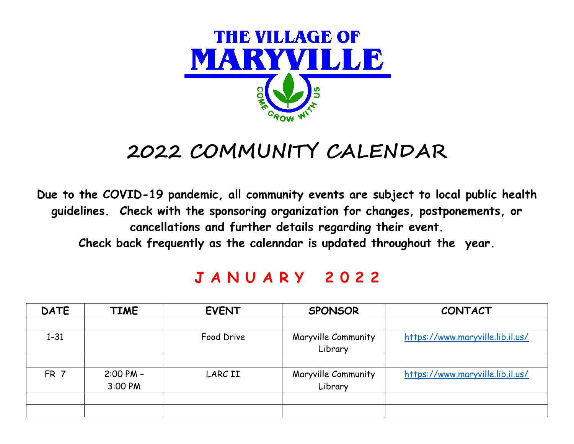

# **2022 COMMUNITY CALENDAR**

**Due to the COVID-19 pandemic, all community events are subject to local public health guidelines. Check with the sponsoring organization for changes, postponements, or cancellations and further details regarding their event. Check back frequently as the calenndar is updated throughout the year.**

#### **J A N U A R Y 2 0 2 2**

| <b>DATE</b>     | <b>TIME</b>   | <b>EVENT</b> | <b>SPONSOR</b>      | <b>CONTACT</b>                   |
|-----------------|---------------|--------------|---------------------|----------------------------------|
|                 |               |              |                     |                                  |
| $1 - 31$        |               | Food Drive   | Maryville Community | https://www.maryville.lib.il.us/ |
|                 |               |              | Library             |                                  |
|                 |               |              |                     |                                  |
| FR <sub>7</sub> | $2:00$ PM $-$ | LARC II      | Maryville Community | https://www.maryville.lib.il.us/ |
|                 | 3:00 PM       |              | Library             |                                  |
|                 |               |              |                     |                                  |
|                 |               |              |                     |                                  |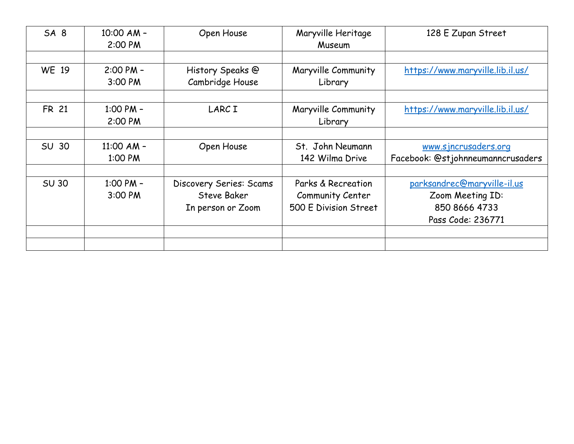| SA <sub>8</sub> | 10:00 AM -<br>2:00 PM    | Open House                                                         | Maryville Heritage<br>Museum                                    | 128 E Zupan Street                                                                    |
|-----------------|--------------------------|--------------------------------------------------------------------|-----------------------------------------------------------------|---------------------------------------------------------------------------------------|
|                 |                          |                                                                    |                                                                 |                                                                                       |
| <b>WE 19</b>    | $2:00$ PM $-$<br>3:00 PM | History Speaks @<br>Cambridge House                                | Maryville Community<br>Library                                  | https://www.maryville.lib.il.us/                                                      |
|                 |                          |                                                                    |                                                                 |                                                                                       |
| <b>FR 21</b>    | 1:00 PM $-$<br>2:00 PM   | LARC I                                                             | Maryville Community<br>Library                                  | https://www.maryville.lib.il.us/                                                      |
|                 |                          |                                                                    |                                                                 |                                                                                       |
| <b>SU 30</b>    | $11:00$ AM -<br>1:00 PM  | Open House                                                         | St. John Neumann<br>142 Wilma Drive                             | www.sjncrusaders.org<br>Facebook: @stjohnneumanncrusaders                             |
| <b>SU 30</b>    | 1:00 PM $-$<br>3:00 PM   | Discovery Series: Scams<br><b>Steve Baker</b><br>In person or Zoom | Parks & Recreation<br>Community Center<br>500 E Division Street | parksandrec@maryville-il.us<br>Zoom Meeting ID:<br>850 8666 4733<br>Pass Code: 236771 |
|                 |                          |                                                                    |                                                                 |                                                                                       |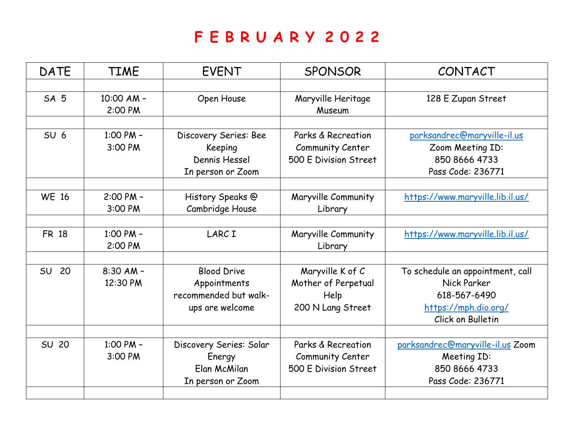#### **F E B R U A R Y 2 0 2 2**

| <b>DATE</b>     | <b>TIME</b>           | <b>EVENT</b>            | <b>SPONSOR</b>               | CONTACT                          |
|-----------------|-----------------------|-------------------------|------------------------------|----------------------------------|
|                 |                       |                         |                              |                                  |
| SA <sub>5</sub> | 10:00 AM -<br>2:00 PM | Open House              | Maryville Heritage<br>Museum | 128 E Zupan Street               |
|                 |                       |                         |                              |                                  |
| SU <sub>6</sub> | 1:00 PM $-$           | Discovery Series: Bee   | Parks & Recreation           | parksandrec@maryville-il.us      |
|                 | 3:00 PM               | Keeping                 | Community Center             | Zoom Meeting ID:                 |
|                 |                       | Dennis Hessel           | 500 E Division Street        | 850 8666 4733                    |
|                 |                       | In person or Zoom       |                              | Pass Code: 236771                |
|                 |                       |                         |                              |                                  |
| <b>WE 16</b>    | $2:00$ PM $-$         | History Speaks @        | Maryville Community          | https://www.maryville.lib.il.us/ |
|                 | 3:00 PM               | Cambridge House         | Library                      |                                  |
|                 |                       |                         |                              |                                  |
| <b>FR 18</b>    | 1:00 PM -             | LARC I                  | Maryville Community          | https://www.maryville.lib.il.us/ |
|                 | 2:00 PM               |                         | Library                      |                                  |
|                 |                       |                         |                              |                                  |
| 20<br><b>SU</b> | $8:30$ AM -           | <b>Blood Drive</b>      | Maryville K of C             | To schedule an appointment, call |
|                 | 12:30 PM              | Appointments            | Mother of Perpetual          | Nick Parker                      |
|                 |                       | recommended but walk-   | Help                         | 618-567-6490                     |
|                 |                       | ups are welcome         | 200 N Lang Street            | https://mph.dio.org/             |
|                 |                       |                         |                              | Click on Bulletin                |
|                 |                       |                         |                              |                                  |
| <b>SU 20</b>    | 1:00 PM -             | Discovery Series: Solar | Parks & Recreation           | parksandrec@maryville-il.us Zoom |
|                 | 3:00 PM               | Energy                  | Community Center             | Meeting ID:                      |
|                 |                       | Elan McMilan            | 500 E Division Street        | 850 8666 4733                    |
|                 |                       | In person or Zoom       |                              | Pass Code: 236771                |
|                 |                       |                         |                              |                                  |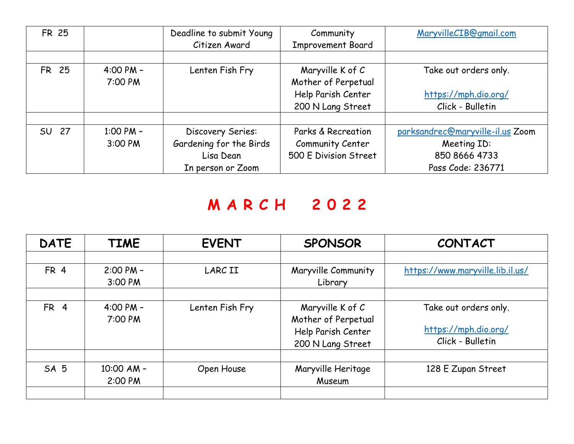| <b>FR 25</b> |             | Deadline to submit Young | Community                | MaryvilleCIB@gmail.com           |
|--------------|-------------|--------------------------|--------------------------|----------------------------------|
|              |             | Citizen Award            | <b>Improvement Board</b> |                                  |
|              |             |                          |                          |                                  |
| <b>FR 25</b> | $4:00 PM -$ | Lenten Fish Fry          | Maryville K of C         | Take out orders only.            |
|              | 7:00 PM     |                          | Mother of Perpetual      |                                  |
|              |             |                          | Help Parish Center       | https://mph.dio.org/             |
|              |             |                          | 200 N Lang Street        | Click - Bulletin                 |
|              |             |                          |                          |                                  |
| SU 27        | 1:00 PM $-$ | Discovery Series:        | Parks & Recreation       | parksandrec@maryville-il.us Zoom |
|              | 3:00 PM     | Gardening for the Birds  | Community Center         | Meeting ID:                      |
|              |             | Lisa Dean                | 500 E Division Street    | 850 8666 4733                    |
|              |             | In person or Zoom        |                          | Pass Code: 236771                |

#### **M A R C H 2 0 2 2**

| <b>DATE</b>     | <b>TIME</b>              | <b>EVENT</b>    | <b>SPONSOR</b>                                                                     | <b>CONTACT</b>                                                    |
|-----------------|--------------------------|-----------------|------------------------------------------------------------------------------------|-------------------------------------------------------------------|
|                 |                          |                 |                                                                                    |                                                                   |
| FR <sub>4</sub> | $2:00$ PM $-$<br>3:00 PM | <b>LARCII</b>   | Maryville Community<br>Library                                                     | https://www.maryville.lib.il.us/                                  |
|                 |                          |                 |                                                                                    |                                                                   |
| FR <sub>4</sub> | $4:00$ PM $-$<br>7:00 PM | Lenten Fish Fry | Maryville K of C<br>Mother of Perpetual<br>Help Parish Center<br>200 N Lang Street | Take out orders only.<br>https://mph.dio.org/<br>Click - Bulletin |
| SA <sub>5</sub> | $10:00$ AM -<br>2:00 PM  | Open House      | Maryville Heritage<br>Museum                                                       | 128 E Zupan Street                                                |
|                 |                          |                 |                                                                                    |                                                                   |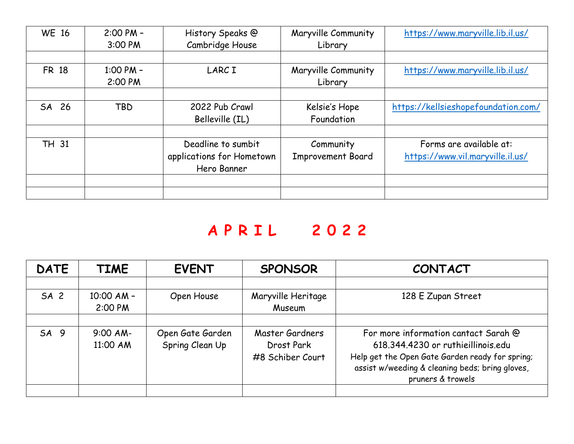| <b>WE 16</b> | $2:00$ PM $-$<br>3:00 PM | History Speaks @<br>Cambridge House                            | Maryville Community<br>Library        | https://www.maryville.lib.il.us/                            |
|--------------|--------------------------|----------------------------------------------------------------|---------------------------------------|-------------------------------------------------------------|
| <b>FR 18</b> | 1:00 PM $-$<br>2:00 PM   | <b>LARCI</b>                                                   | Maryville Community<br>Library        | https://www.maryville.lib.il.us/                            |
| SA 26        | <b>TBD</b>               | 2022 Pub Crawl<br>Belleville (IL)                              | Kelsie's Hope<br>Foundation           | https://kellsieshopefoundation.com/                         |
| <b>TH 31</b> |                          | Deadline to sumbit<br>applications for Hometown<br>Hero Banner | Community<br><b>Improvement Board</b> | Forms are available at:<br>https://www.vil.maryville.il.us/ |
|              |                          |                                                                |                                       |                                                             |

### **A P R I L 2 0 2 2**

| <b>DATE</b>     | <b>TIME</b>    | <b>EVENT</b>     | <b>SPONSOR</b>     | <b>CONTACT</b>                                  |
|-----------------|----------------|------------------|--------------------|-------------------------------------------------|
|                 |                |                  |                    |                                                 |
| SA <sub>2</sub> | $10:00$ AM $-$ | Open House       | Maryville Heritage | 128 E Zupan Street                              |
|                 | 2:00 PM        |                  | Museum             |                                                 |
|                 |                |                  |                    |                                                 |
| SA <sub>9</sub> | $9:00$ AM-     | Open Gate Garden | Master Gardners    | For more information cantact Sarah @            |
|                 | 11:00 AM       | Spring Clean Up  | Drost Park         | 618.344.4230 or ruthieillinois.edu              |
|                 |                |                  | #8 Schiber Court   | Help get the Open Gate Garden ready for spring; |
|                 |                |                  |                    | assist w/weeding & cleaning beds; bring gloves, |
|                 |                |                  |                    | pruners & trowels                               |
|                 |                |                  |                    |                                                 |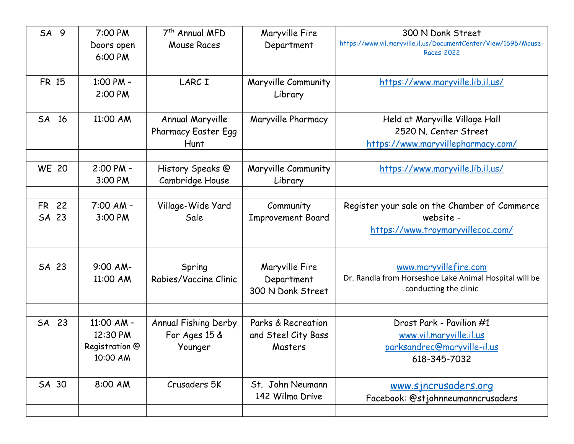| SA <sub>9</sub> | 7:00 PM<br>Doors open<br>6:00 PM                       | 7 <sup>th</sup> Annual MFD<br>Mouse Races              | Maryville Fire<br>Department                         | 300 N Donk Street<br>https://www.vil.maryville.il.us/DocumentCenter/View/1696/Mouse-<br>Races-2022       |
|-----------------|--------------------------------------------------------|--------------------------------------------------------|------------------------------------------------------|----------------------------------------------------------------------------------------------------------|
| <b>FR 15</b>    | 1:00 PM -<br>2:00 PM                                   | LARC I                                                 | Maryville Community<br>Library                       | https://www.maryville.lib.il.us/                                                                         |
| SA 16           | 11:00 AM                                               | Annual Maryville<br><b>Pharmacy Easter Egg</b><br>Hunt | Maryville Pharmacy                                   | Held at Maryville Village Hall<br>2520 N. Center Street<br>https://www.maryvillepharmacy.com/            |
| <b>WE 20</b>    | 2:00 PM -<br>3:00 PM                                   | History Speaks @<br>Cambridge House                    | Maryville Community<br>Library                       | https://www.maryville.lib.il.us/                                                                         |
| FR 22<br>SA 23  | $7:00$ AM -<br>3:00 PM                                 | Village-Wide Yard<br>Sale                              | Community<br><b>Improvement Board</b>                | Register your sale on the Chamber of Commerce<br>website -<br>https://www.troymaryvillecoc.com/          |
| SA 23           | $9:00$ AM-<br>11:00 AM                                 | Spring<br>Rabies/Vaccine Clinic                        | Maryville Fire<br>Department<br>300 N Donk Street    | www.maryvillefire.com<br>Dr. Randla from Horseshoe Lake Animal Hospital will be<br>conducting the clinic |
| SA 23           | 11:00 AM $-$<br>12:30 PM<br>Registration @<br>10:00 AM | Annual Fishing Derby<br>For Ages 15 &<br>Younger       | Parks & Recreation<br>and Steel City Bass<br>Masters | Drost Park - Pavilion #1<br>www.vil.maryville.il.us<br>parksandrec@maryville-il.us<br>618-345-7032       |
| SA 30           | 8:00 AM                                                | Crusaders 5K                                           | St. John Neumann<br>142 Wilma Drive                  | www.sjncrusaders.org<br>Facebook: @stjohnneumanncrusaders                                                |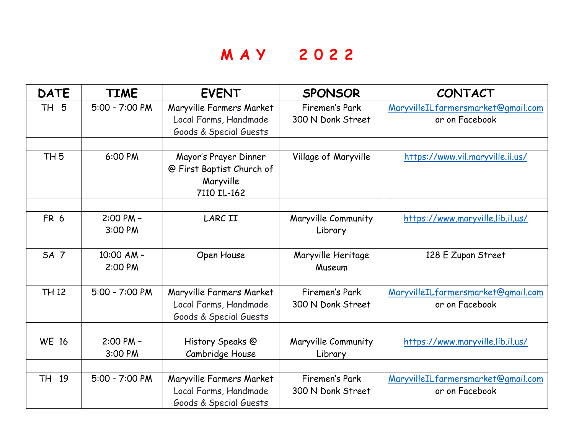#### **M A Y 2 0 2 2**

| <b>DATE</b>     | <b>TIME</b>              | <b>EVENT</b>                                                                   | <b>SPONSOR</b>                      | <b>CONTACT</b>                                       |
|-----------------|--------------------------|--------------------------------------------------------------------------------|-------------------------------------|------------------------------------------------------|
| 5<br><b>TH</b>  | $5:00 - 7:00 P$ M        | Maryville Farmers Market<br>Local Farms, Handmade<br>Goods & Special Guests    | Firemen's Park<br>300 N Donk Street | MaryvilleILfarmersmarket@gmail.com<br>or on Facebook |
| TH <sub>5</sub> | 6:00 PM                  | Mayor's Prayer Dinner<br>@ First Baptist Church of<br>Maryville<br>7110 IL-162 | Village of Maryville                | https://www.vil.maryville.il.us/                     |
| FR 6            | 2:00 PM -<br>3:00 PM     | <b>LARCII</b>                                                                  | Maryville Community<br>Library      | https://www.maryville.lib.il.us/                     |
| SA <sub>7</sub> | 10:00 AM -<br>2:00 PM    | Open House                                                                     | Maryville Heritage<br>Museum        | 128 E Zupan Street                                   |
| <b>TH 12</b>    | $5:00 - 7:00 P$ M        | Maryville Farmers Market<br>Local Farms, Handmade<br>Goods & Special Guests    | Firemen's Park<br>300 N Donk Street | MaryvilleILfarmersmarket@gmail.com<br>or on Facebook |
| <b>WE 16</b>    | $2:00$ PM $-$<br>3:00 PM | History Speaks @<br>Cambridge House                                            | Maryville Community<br>Library      | https://www.maryville.lib.il.us/                     |
| TH 19           | $5:00 - 7:00 P$ M        | Maryville Farmers Market<br>Local Farms, Handmade<br>Goods & Special Guests    | Firemen's Park<br>300 N Donk Street | MaryvilleILfarmersmarket@gmail.com<br>or on Facebook |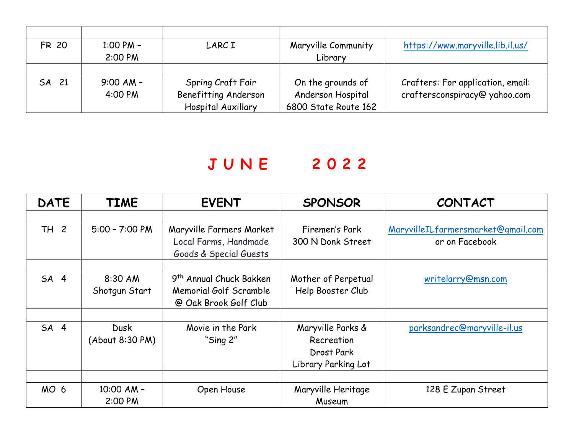| <b>FR 20</b> | $1:00 PM -$ | LARC I               | Maryville Community  | https://www.maryville.lib.il.us/  |
|--------------|-------------|----------------------|----------------------|-----------------------------------|
|              | 2:00 PM     |                      | Library              |                                   |
|              |             |                      |                      |                                   |
| SA 21        | $9:00$ AM - | Spring Craft Fair    | On the grounds of    | Crafters: For application, email: |
|              | 4:00 PM     | Benefitting Anderson | Anderson Hospital    | craftersconspiracy@yahoo.com      |
|              |             | Hospital Auxillary   | 6800 State Route 162 |                                   |

#### **J U N E 2 0 2 2**

| <b>DATE</b>     | <b>TIME</b>       | <b>EVENT</b>                        | <b>SPONSOR</b>      | <b>CONTACT</b>                     |
|-----------------|-------------------|-------------------------------------|---------------------|------------------------------------|
|                 |                   |                                     |                     |                                    |
| TH 2            | $5:00 - 7:00 P$ M | Maryville Farmers Market            | Firemen's Park      | MaryvilleILfarmersmarket@gmail.com |
|                 |                   | Local Farms, Handmade               | 300 N Donk Street   | or on Facebook                     |
|                 |                   | Goods & Special Guests              |                     |                                    |
|                 |                   |                                     |                     |                                    |
| SA <sub>4</sub> | 8:30 AM           | 9 <sup>th</sup> Annual Chuck Bakken | Mother of Perpetual | writelarry@msn.com                 |
|                 | Shotgun Start     | Memorial Golf Scramble              | Help Booster Club   |                                    |
|                 |                   | @ Oak Brook Golf Club               |                     |                                    |
|                 |                   |                                     |                     |                                    |
| SA <sub>4</sub> | <b>Dusk</b>       | Movie in the Park                   | Maryville Parks &   | parksandrec@maryville-il.us        |
|                 | (About 8:30 PM)   | "Sing 2"                            | Recreation          |                                    |
|                 |                   |                                     | Drost Park          |                                    |
|                 |                   |                                     | Library Parking Lot |                                    |
|                 |                   |                                     |                     |                                    |
| MO <sub>6</sub> | 10:00 AM -        | Open House                          | Maryville Heritage  | 128 E Zupan Street                 |
|                 | 2:00 PM           |                                     | Museum              |                                    |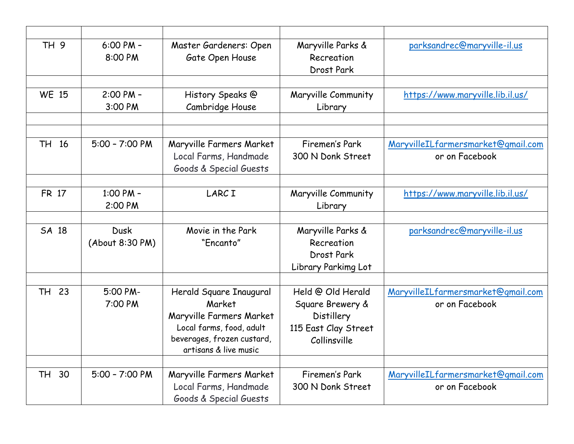| TH 9         | $6:00$ PM $-$<br>8:00 PM       | Master Gardeners: Open<br>Gate Open House                                                                                                        | Maryville Parks &<br>Recreation<br>Drost Park                                                      | parksandrec@maryville-il.us                          |
|--------------|--------------------------------|--------------------------------------------------------------------------------------------------------------------------------------------------|----------------------------------------------------------------------------------------------------|------------------------------------------------------|
|              |                                |                                                                                                                                                  |                                                                                                    |                                                      |
| <b>WE 15</b> | 2:00 PM -<br>3:00 PM           | History Speaks @<br>Cambridge House                                                                                                              | Maryville Community<br>Library                                                                     | https://www.maryville.lib.il.us/                     |
|              |                                |                                                                                                                                                  |                                                                                                    |                                                      |
|              |                                |                                                                                                                                                  |                                                                                                    |                                                      |
| TH 16        | $5:00 - 7:00 P$ M              | Maryville Farmers Market                                                                                                                         | Firemen's Park                                                                                     | MaryvilleILfarmersmarket@gmail.com                   |
|              |                                | Local Farms, Handmade<br>Goods & Special Guests                                                                                                  | 300 N Donk Street                                                                                  | or on Facebook                                       |
|              |                                |                                                                                                                                                  |                                                                                                    |                                                      |
| <b>FR 17</b> | 1:00 PM -<br>2:00 PM           | LARC I                                                                                                                                           | Maryville Community<br>Library                                                                     | https://www.maryville.lib.il.us/                     |
|              |                                |                                                                                                                                                  |                                                                                                    |                                                      |
| SA 18        | <b>Dusk</b><br>(About 8:30 PM) | Movie in the Park<br>"Encanto"                                                                                                                   | Maryville Parks &<br>Recreation<br>Drost Park<br>Library Parkimg Lot                               | parksandrec@maryville-il.us                          |
|              |                                |                                                                                                                                                  |                                                                                                    |                                                      |
| TH 23        | 5:00 PM-<br>7:00 PM            | Herald Square Inaugural<br>Market<br>Maryville Farmers Market<br>Local farms, food, adult<br>beverages, frozen custard,<br>artisans & live music | Held @ Old Herald<br>Square Brewery &<br><b>Distillery</b><br>115 East Clay Street<br>Collinsville | MaryvilleILfarmersmarket@gmail.com<br>or on Facebook |
|              |                                |                                                                                                                                                  |                                                                                                    |                                                      |
| TH 30        | $5:00 - 7:00 P$ M              | Maryville Farmers Market<br>Local Farms, Handmade<br>Goods & Special Guests                                                                      | Firemen's Park<br>300 N Donk Street                                                                | MaryvilleILfarmersmarket@gmail.com<br>or on Facebook |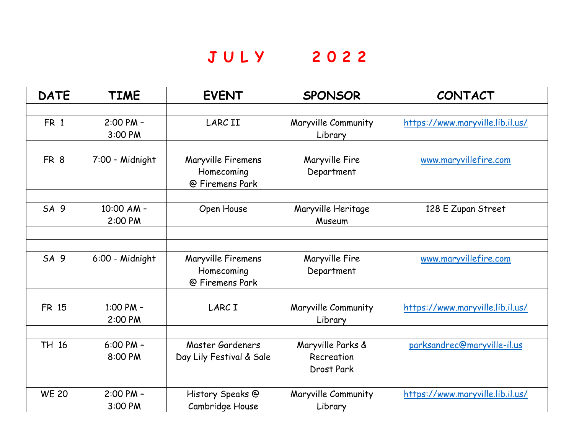## **J U L Y 2 0 2 2**

| <b>DATE</b>     | <b>TIME</b>              | <b>EVENT</b>                                        | <b>SPONSOR</b>                                | CONTACT                          |
|-----------------|--------------------------|-----------------------------------------------------|-----------------------------------------------|----------------------------------|
|                 |                          |                                                     |                                               |                                  |
| FR 1            | 2:00 PM -<br>3:00 PM     | <b>LARCII</b>                                       | Maryville Community<br>Library                | https://www.maryville.lib.il.us/ |
|                 |                          |                                                     |                                               |                                  |
| FR <sub>8</sub> | 7:00 - Midnight          | Maryville Firemens<br>Homecoming<br>@ Firemens Park | Maryville Fire<br>Department                  | www.maryvillefire.com            |
|                 |                          |                                                     |                                               |                                  |
| SA 9            | 10:00 AM -<br>2:00 PM    | Open House                                          | Maryville Heritage<br>Museum                  | 128 E Zupan Street               |
|                 |                          |                                                     |                                               |                                  |
|                 |                          |                                                     |                                               |                                  |
| SA <sub>9</sub> | 6:00 - Midnight          | Maryville Firemens<br>Homecoming<br>@ Firemens Park | Maryville Fire<br>Department                  | www.maryvillefire.com            |
|                 |                          |                                                     |                                               |                                  |
| <b>FR 15</b>    | 1:00 PM -<br>2:00 PM     | <b>LARCI</b>                                        | Maryville Community<br>Library                | https://www.maryville.lib.il.us/ |
|                 |                          |                                                     |                                               |                                  |
| TH 16           | $6:00$ PM -<br>8:00 PM   | Master Gardeners<br>Day Lily Festival & Sale        | Maryville Parks &<br>Recreation<br>Drost Park | parksandrec@maryville-il.us      |
|                 |                          |                                                     |                                               |                                  |
| <b>WE 20</b>    | $2:00$ PM $-$<br>3:00 PM | History Speaks @<br>Cambridge House                 | Maryville Community<br>Library                | https://www.maryville.lib.il.us/ |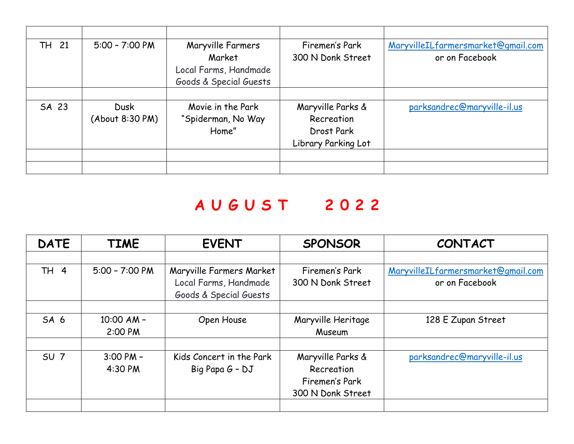| TH 21 | $5:00 - 7:00 P$ M              | Maryville Farmers<br>Market<br>Local Farms, Handmade<br>Goods & Special Guests | Firemen's Park<br>300 N Donk Street                                  | MaryvilleILfarmersmarket@gmail.com<br>or on Facebook |
|-------|--------------------------------|--------------------------------------------------------------------------------|----------------------------------------------------------------------|------------------------------------------------------|
| SA 23 | <b>Dusk</b><br>(About 8:30 PM) | Movie in the Park<br>"Spiderman, No Way<br>Home"                               | Maryville Parks &<br>Recreation<br>Drost Park<br>Library Parking Lot | parksandrec@maryville-il.us                          |

# **A U G U S T 2 0 2 2**

| <b>DATE</b>     | <b>TIME</b>              | <b>EVENT</b>                                                                | <b>SPONSOR</b>                                                         | <b>CONTACT</b>                                       |
|-----------------|--------------------------|-----------------------------------------------------------------------------|------------------------------------------------------------------------|------------------------------------------------------|
|                 |                          |                                                                             |                                                                        |                                                      |
| TH 4            | $5:00 - 7:00 P$ M        | Maryville Farmers Market<br>Local Farms, Handmade<br>Goods & Special Guests | Firemen's Park<br>300 N Donk Street                                    | MaryvilleILfarmersmarket@gmail.com<br>or on Facebook |
|                 |                          |                                                                             |                                                                        |                                                      |
| SA <sub>6</sub> | $10:00$ AM -<br>2:00 PM  | Open House                                                                  | Maryville Heritage<br>Museum                                           | 128 E Zupan Street                                   |
| SU <sub>7</sub> | $3:00$ PM $-$<br>4:30 PM | Kids Concert in the Park<br>Big Papa G - DJ                                 | Maryville Parks &<br>Recreation<br>Firemen's Park<br>300 N Donk Street | parksandrec@maryville-il.us                          |
|                 |                          |                                                                             |                                                                        |                                                      |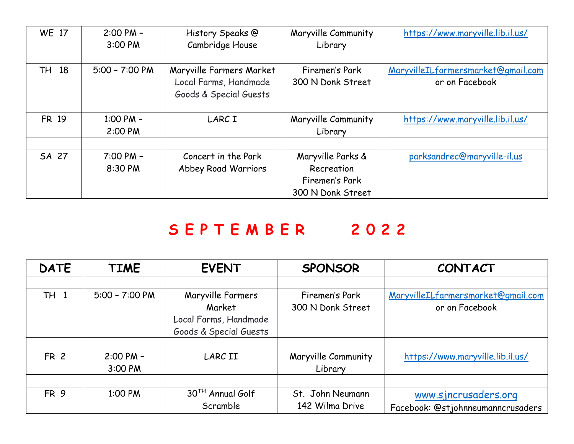| <b>WE 17</b> | $2:00$ PM $-$<br>3:00 PM | History Speaks @<br>Cambridge House             | Maryville Community<br>Library                    | https://www.maryville.lib.il.us/   |
|--------------|--------------------------|-------------------------------------------------|---------------------------------------------------|------------------------------------|
|              |                          |                                                 |                                                   |                                    |
| TH 18        | $5:00 - 7:00 P$ M        | Maryville Farmers Market                        | Firemen's Park                                    | MaryvilleILfarmersmarket@gmail.com |
|              |                          | Local Farms, Handmade<br>Goods & Special Guests | 300 N Donk Street                                 | or on Facebook                     |
|              |                          |                                                 |                                                   |                                    |
| <b>FR 19</b> | 1:00 PM $-$<br>2:00 PM   | LARC I                                          | Maryville Community<br>Library                    | https://www.maryville.lib.il.us/   |
|              |                          |                                                 |                                                   |                                    |
| SA 27        | $7:00$ PM $-$<br>8:30 PM | Concert in the Park<br>Abbey Road Warriors      | Maryville Parks &<br>Recreation<br>Firemen's Park | parksandrec@maryville-il.us        |
|              |                          |                                                 | 300 N Donk Street                                 |                                    |

# **S E P T E M B E R 2 0 2 2**

| <b>DATE</b>     | <b>TIME</b>       | <b>EVENT</b>           | <b>SPONSOR</b>      | <b>CONTACT</b>                     |
|-----------------|-------------------|------------------------|---------------------|------------------------------------|
|                 |                   |                        |                     |                                    |
| <b>TH 1</b>     | $5:00 - 7:00 P$ M | Maryville Farmers      | Firemen's Park      | MaryvilleILfarmersmarket@gmail.com |
|                 |                   | Market                 | 300 N Donk Street   | or on Facebook                     |
|                 |                   | Local Farms, Handmade  |                     |                                    |
|                 |                   | Goods & Special Guests |                     |                                    |
|                 |                   |                        |                     |                                    |
| <b>FR 2</b>     | $2:00 PM -$       | LARC II                | Maryville Community | https://www.maryville.lib.il.us/   |
|                 | 3:00 PM           |                        | Library             |                                    |
|                 |                   |                        |                     |                                    |
| FR <sub>9</sub> | 1:00 PM           | 30TH Annual Golf       | St. John Neumann    | www.sjncrusaders.org               |
|                 |                   | Scramble               | 142 Wilma Drive     | Facebook: @stjohnneumanncrusaders  |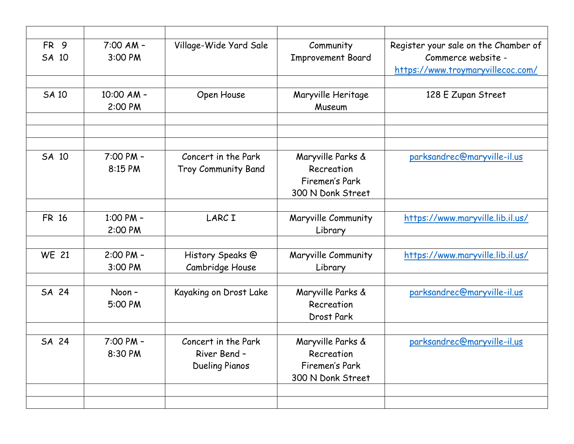| FR <sub>9</sub><br>SA 10 | $7:00$ AM -<br>3:00 PM   | Village-Wide Yard Sale                                       | Community<br><b>Improvement Board</b>                                  | Register your sale on the Chamber of<br>Commerce website -<br>https://www.troymaryvillecoc.com/ |
|--------------------------|--------------------------|--------------------------------------------------------------|------------------------------------------------------------------------|-------------------------------------------------------------------------------------------------|
|                          |                          |                                                              |                                                                        |                                                                                                 |
| <b>SA 10</b>             | 10:00 AM -<br>2:00 PM    | Open House                                                   | Maryville Heritage<br>Museum                                           | 128 E Zupan Street                                                                              |
|                          |                          |                                                              |                                                                        |                                                                                                 |
|                          |                          |                                                              |                                                                        |                                                                                                 |
| SA 10                    | $7:00$ PM $-$<br>8:15 PM | Concert in the Park<br>Troy Community Band                   | Maryville Parks &<br>Recreation<br>Firemen's Park<br>300 N Donk Street | parksandrec@maryville-il.us                                                                     |
|                          |                          |                                                              |                                                                        |                                                                                                 |
| <b>FR 16</b>             | 1:00 PM -<br>2:00 PM     | <b>LARCI</b>                                                 | Maryville Community<br>Library                                         | https://www.maryville.lib.il.us/                                                                |
|                          |                          |                                                              |                                                                        |                                                                                                 |
| <b>WE 21</b>             | $2:00$ PM $-$<br>3:00 PM | History Speaks @<br>Cambridge House                          | Maryville Community<br>Library                                         | https://www.maryville.lib.il.us/                                                                |
|                          |                          |                                                              |                                                                        |                                                                                                 |
| <b>SA 24</b>             | Noon-<br>5:00 PM         | Kayaking on Drost Lake                                       | Maryville Parks &<br>Recreation<br>Drost Park                          | parksandrec@maryville-il.us                                                                     |
|                          |                          |                                                              |                                                                        |                                                                                                 |
| SA 24                    | 7:00 PM -<br>8:30 PM     | Concert in the Park<br>River Bend -<br><b>Dueling Pianos</b> | Maryville Parks &<br>Recreation<br>Firemen's Park<br>300 N Donk Street | parksandrec@maryville-il.us                                                                     |
|                          |                          |                                                              |                                                                        |                                                                                                 |
|                          |                          |                                                              |                                                                        |                                                                                                 |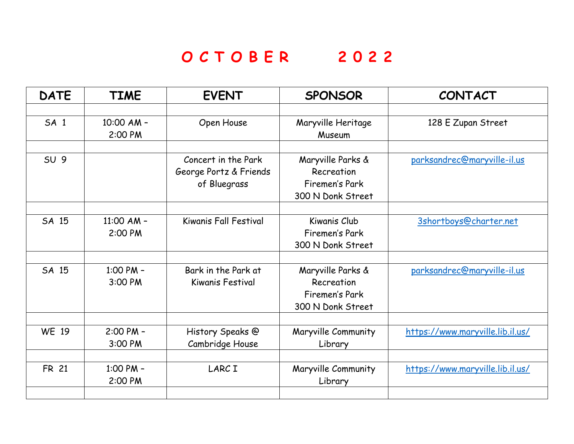# **O C T O B E R 2 0 2 2**

| <b>DATE</b>     | <b>TIME</b>   | <b>EVENT</b>            | <b>SPONSOR</b>      | <b>CONTACT</b>                   |
|-----------------|---------------|-------------------------|---------------------|----------------------------------|
|                 |               |                         |                     |                                  |
| SA <sub>1</sub> | 10:00 AM -    | Open House              | Maryville Heritage  | 128 E Zupan Street               |
|                 | 2:00 PM       |                         | Museum              |                                  |
|                 |               |                         |                     |                                  |
| SU <sub>9</sub> |               | Concert in the Park     | Maryville Parks &   | parksandrec@maryville-il.us      |
|                 |               | George Portz & Friends  | Recreation          |                                  |
|                 |               | of Bluegrass            | Firemen's Park      |                                  |
|                 |               |                         | 300 N Donk Street   |                                  |
| SA 15           | 11:00 AM $-$  | Kiwanis Fall Festival   | Kiwanis Club        |                                  |
|                 |               |                         |                     | 3shortboys@charter.net           |
|                 | 2:00 PM       |                         | Firemen's Park      |                                  |
|                 |               |                         | 300 N Donk Street   |                                  |
| SA 15           | 1:00 PM -     | Bark in the Park at     | Maryville Parks &   | parksandrec@maryville-il.us      |
|                 | 3:00 PM       | <b>Kiwanis Festival</b> | Recreation          |                                  |
|                 |               |                         | Firemen's Park      |                                  |
|                 |               |                         | 300 N Donk Street   |                                  |
|                 |               |                         |                     |                                  |
| <b>WE 19</b>    | $2:00$ PM $-$ | History Speaks @        | Maryville Community | https://www.maryville.lib.il.us/ |
|                 | 3:00 PM       | Cambridge House         | Library             |                                  |
|                 |               |                         |                     |                                  |
| <b>FR 21</b>    | 1:00 PM -     | LARC I                  | Maryville Community | https://www.maryville.lib.il.us/ |
|                 | 2:00 PM       |                         | Library             |                                  |
|                 |               |                         |                     |                                  |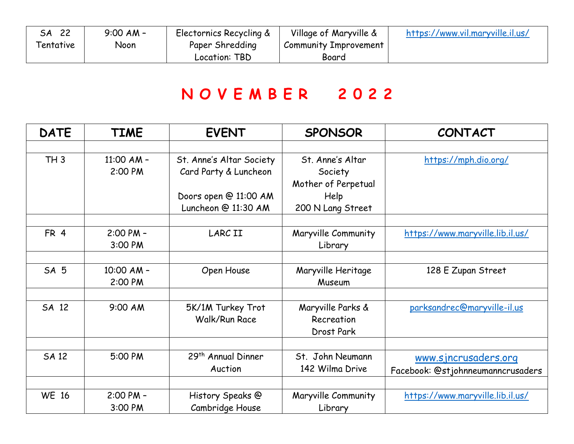| 22<br>SA  | $9:00$ AM - | Electornics Recycling & | Village of Maryville & | https://www.vil.maryville.il.us/ |
|-----------|-------------|-------------------------|------------------------|----------------------------------|
| Tentative | Noon        | Paper Shredding         | Community Improvement  |                                  |
|           |             | Location: TBD           | Board                  |                                  |

# **N O V E M B E R 2 0 2 2**

| <b>DATE</b>     | <b>TIME</b>              | <b>EVENT</b>                                      | <b>SPONSOR</b>                                     | <b>CONTACT</b>                                            |
|-----------------|--------------------------|---------------------------------------------------|----------------------------------------------------|-----------------------------------------------------------|
|                 |                          |                                                   |                                                    |                                                           |
| TH3             | $11:00$ AM -<br>2:00 PM  | St. Anne's Altar Society<br>Card Party & Luncheon | St. Anne's Altar<br>Society<br>Mother of Perpetual | https://mph.dio.org/                                      |
|                 |                          | Doors open @ 11:00 AM<br>Luncheon @ 11:30 AM      | Help<br>200 N Lang Street                          |                                                           |
| FR <sub>4</sub> | $2:00$ PM $-$<br>3:00 PM | <b>LARCII</b>                                     | Maryville Community<br>Library                     | https://www.maryville.lib.il.us/                          |
|                 |                          |                                                   |                                                    |                                                           |
| SA 5            | 10:00 AM -<br>2:00 PM    | Open House                                        | Maryville Heritage<br>Museum                       | 128 E Zupan Street                                        |
|                 |                          |                                                   |                                                    |                                                           |
| SA 12           | 9:00 AM                  | 5K/1M Turkey Trot<br><b>Walk/Run Race</b>         | Maryville Parks &<br>Recreation<br>Drost Park      | parksandrec@maryville-il.us                               |
|                 |                          |                                                   |                                                    |                                                           |
| <b>SA 12</b>    | 5:00 PM                  | 29 <sup>th</sup> Annual Dinner<br>Auction         | St. John Neumann<br>142 Wilma Drive                | www.sjncrusaders.org<br>Facebook: @stjohnneumanncrusaders |
|                 |                          |                                                   |                                                    |                                                           |
| <b>WE 16</b>    | 2:00 PM -<br>3:00 PM     | History Speaks @<br>Cambridge House               | Maryville Community<br>Library                     | https://www.maryville.lib.il.us/                          |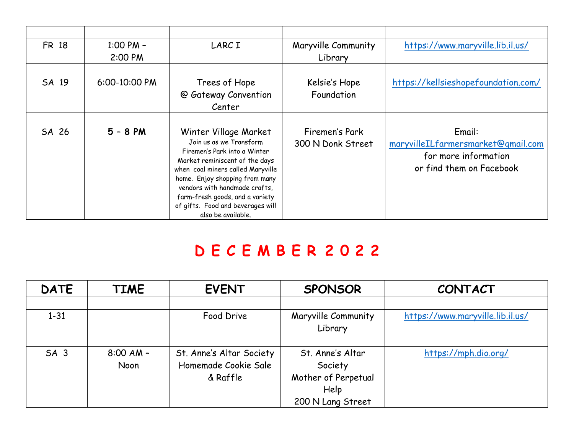| <b>FR 18</b> | $1:00$ PM $-$ | LARC I                            | Maryville Community | https://www.maryville.lib.il.us/    |
|--------------|---------------|-----------------------------------|---------------------|-------------------------------------|
|              | 2:00 PM       |                                   | Library             |                                     |
|              |               |                                   |                     |                                     |
| SA 19        | 6:00-10:00 PM | Trees of Hope                     | Kelsie's Hope       | https://kellsieshopefoundation.com/ |
|              |               | @ Gateway Convention              | Foundation          |                                     |
|              |               | Center                            |                     |                                     |
|              |               |                                   |                     |                                     |
| SA 26        | $5 - 8$ PM    | Winter Village Market             | Firemen's Park      | Email:                              |
|              |               | Join us as we Transform           | 300 N Donk Street   | maryvilleILfarmersmarket@gmail.com  |
|              |               | Firemen's Park into a Winter      |                     | for more information                |
|              |               | Market reminiscent of the days    |                     |                                     |
|              |               | when coal miners called Maryville |                     | or find them on Facebook            |
|              |               | home. Enjoy shopping from many    |                     |                                     |
|              |               | vendors with handmade crafts,     |                     |                                     |
|              |               | farm-fresh goods, and a variety   |                     |                                     |
|              |               | of gifts. Food and beverages will |                     |                                     |
|              |               | also be available.                |                     |                                     |

#### **D E C E M B E R 2 0 2 2**

| <b>DATE</b>     | <b>TIME</b>         | <b>EVENT</b>                                                 | <b>SPONSOR</b>                                                                  | <b>CONTACT</b>                   |
|-----------------|---------------------|--------------------------------------------------------------|---------------------------------------------------------------------------------|----------------------------------|
|                 |                     |                                                              |                                                                                 |                                  |
| $1 - 31$        |                     | Food Drive                                                   | Maryville Community<br>Library                                                  | https://www.maryville.lib.il.us/ |
|                 |                     |                                                              |                                                                                 |                                  |
| SA <sub>3</sub> | $8:00$ AM -<br>Noon | St. Anne's Altar Society<br>Homemade Cookie Sale<br>& Raffle | St. Anne's Altar<br>Society<br>Mother of Perpetual<br>Help<br>200 N Lang Street | https://mph.dio.org/             |